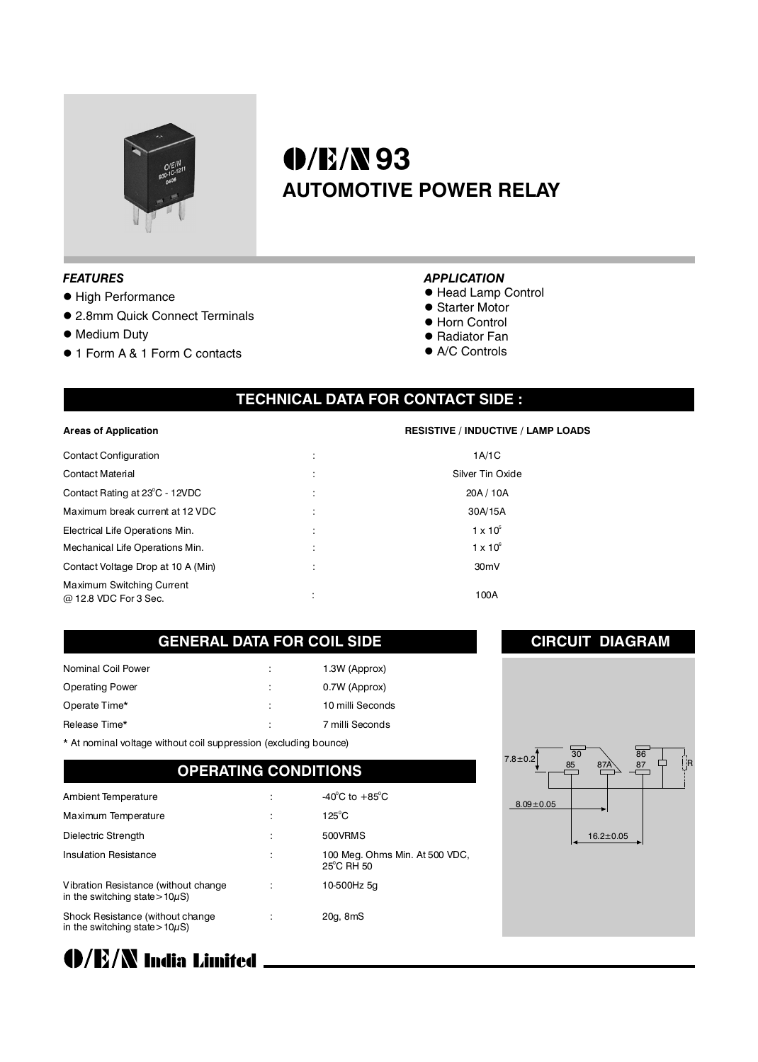

# **0/E/N93 AUTOMOTIVE POWER RELAY**

#### *FEATURES*

- High Performance
- 2.8mm Quick Connect Terminals
- $\bullet$  Medium Duty
- 1 Form A & 1 Form C contacts

#### *APPLICATION*

- Head Lamp Control
- Starter Motor
- $\bullet$  Horn Control
- Radiator Fan
- $\bullet$  A/C Controls

## **TECHNICAL DATA FOR CONTACT SIDE :**

#### **Areas of Application**

| <b>Contact Configuration</b>                       |                | 1A/1C             |
|----------------------------------------------------|----------------|-------------------|
| <b>Contact Material</b>                            | $\overline{a}$ | Silver Tin Oxide  |
| Contact Rating at 23°C - 12VDC                     |                | 20A / 10A         |
| Maximum break current at 12 VDC                    | ٠              | 30A/15A           |
| Electrical Life Operations Min.                    |                | $1 \times 10^5$   |
| Mechanical Life Operations Min.                    |                | $1 \times 10^6$   |
| Contact Voltage Drop at 10 A (Min)                 |                | 30 <sub>m</sub> V |
| Maximum Switching Current<br>@ 12.8 VDC For 3 Sec. | ٠              | 100A              |

#### **RESISTIVE / INDUCTIVE / LAMP LOADS**

| 1A/1C             |  |  |
|-------------------|--|--|
| Silver Tin Oxide  |  |  |
| 20A / 10A         |  |  |
| 30A/15A           |  |  |
| $1 \times 10^{5}$ |  |  |
| $1 \times 10^6$   |  |  |
| 30mV              |  |  |
| 100A              |  |  |
|                   |  |  |

#### **GENERAL DATA FOR COIL SIDE**

| Nominal Coil Power     | 1.3W (Approx)    |
|------------------------|------------------|
| <b>Operating Power</b> | 0.7W (Approx)    |
| Operate Time*          | 10 milli Seconds |
| Release Time*          | 7 milli Seconds  |

\* At nominal voltage without coil suppression (excluding bounce)

#### **OPERATING CONDITIONS**

| Ambient Temperature                                                          | $-40^{\circ}$ C to $+85^{\circ}$ C                     |
|------------------------------------------------------------------------------|--------------------------------------------------------|
| Maximum Temperature                                                          | $125^{\circ}$ C                                        |
| Dielectric Strength                                                          | 500VRMS                                                |
| <b>Insulation Resistance</b>                                                 | 100 Meg. Ohms Min. At 500 VDC,<br>$25^{\circ}$ C RH 50 |
| Vibration Resistance (without change)<br>in the switching state > $10\mu$ S) | 10-500Hz 5g                                            |
| Shock Resistance (without change<br>in the switching state > $10\mu$ S)      | 20g, 8mS                                               |



**CIRCUIT DIAGRAM**

**O/E/N India Limited**